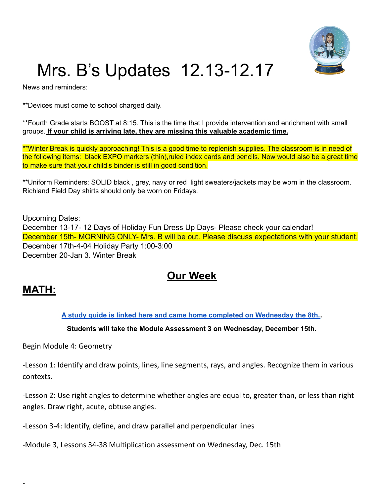

# Mrs. B's Updates 12.13-12.17

News and reminders:

\*\*Devices must come to school charged daily.

\*\*Fourth Grade starts BOOST at 8:15. This is the time that I provide intervention and enrichment with small groups. **If your child is arriving late, they are missing this valuable academic time.**

\*\*Winter Break is quickly approaching! This is a good time to replenish supplies. The classroom is in need of the following items: black EXPO markers (thin),ruled index cards and pencils. Now would also be a great time to make sure that your child's binder is still in good condition.

\*\*Uniform Reminders: SOLID black , grey, navy or red light sweaters/jackets may be worn in the classroom. Richland Field Day shirts should only be worn on Fridays.

Upcoming Dates: December 13-17- 12 Days of Holiday Fun Dress Up Days- Please check your calendar! December 15th- MORNING ONLY- Mrs. B will be out. Please discuss expectations with your student. December 17th-4-04 Holiday Party 1:00-3:00 December 20-Jan 3. Winter Break

## **Our Week**

### **MATH:**

-

**A study guide is linked here and came home completed on [Wednesday](https://drive.google.com/file/d/1u95nvvWYMp7bzXPvsONGhcDRFsUHzBkR/view?usp=sharing) the 8th..**

#### **Students will take the Module Assessment 3 on Wednesday, December 15th.**

Begin Module 4: Geometry

-Lesson 1: Identify and draw points, lines, line segments, rays, and angles. Recognize them in various contexts.

-Lesson 2: Use right angles to determine whether angles are equal to, greater than, or less than right angles. Draw right, acute, obtuse angles.

-Lesson 3-4: Identify, define, and draw parallel and perpendicular lines

-Module 3, Lessons 34-38 Multiplication assessment on Wednesday, Dec. 15th